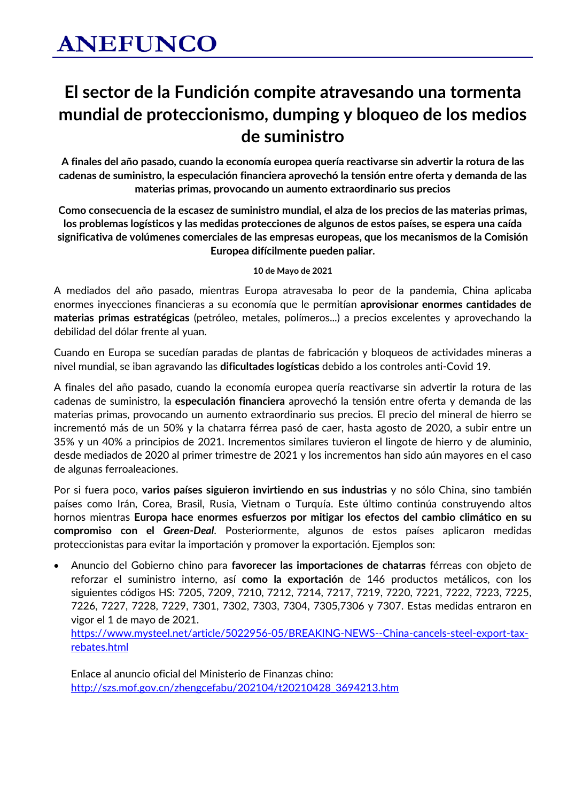### **El sector de la Fundición compite atravesando una tormenta mundial de proteccionismo, dumping y bloqueo de los medios de suministro**

**A finales del año pasado, cuando la economía europea quería reactivarse sin advertir la rotura de las cadenas de suministro, la especulación financiera aprovechó la tensión entre oferta y demanda de las materias primas, provocando un aumento extraordinario sus precios**

**Como consecuencia de la escasez de suministro mundial, el alza de los precios de las materias primas, los problemas logísticos y las medidas protecciones de algunos de estos países, se espera una caída significativa de volúmenes comerciales de las empresas europeas, que los mecanismos de la Comisión Europea difícilmente pueden paliar.**

**10 de Mayo de 2021**

A mediados del año pasado, mientras Europa atravesaba lo peor de la pandemia, China aplicaba enormes inyecciones financieras a su economía que le permitían **aprovisionar enormes cantidades de materias primas estratégicas** (petróleo, metales, polímeros...) a precios excelentes y aprovechando la debilidad del dólar frente al yuan.

Cuando en Europa se sucedían paradas de plantas de fabricación y bloqueos de actividades mineras a nivel mundial, se iban agravando las **dificultades logísticas** debido a los controles anti-Covid 19.

A finales del año pasado, cuando la economía europea quería reactivarse sin advertir la rotura de las cadenas de suministro, la **especulación financiera** aprovechó la tensión entre oferta y demanda de las materias primas, provocando un aumento extraordinario sus precios. El precio del mineral de hierro se incrementó más de un 50% y la chatarra férrea pasó de caer, hasta agosto de 2020, a subir entre un 35% y un 40% a principios de 2021. Incrementos similares tuvieron el lingote de hierro y de aluminio, desde mediados de 2020 al primer trimestre de 2021 y los incrementos han sido aún mayores en el caso de algunas ferroaleaciones.

Por si fuera poco, **varios países siguieron invirtiendo en sus industrias** y no sólo China, sino también países como Irán, Corea, Brasil, Rusia, Vietnam o Turquía. Este último continúa construyendo altos hornos mientras **Europa hace enormes esfuerzos por mitigar los efectos del cambio climático en su compromiso con el** *Green-Deal*. Posteriormente, algunos de estos países aplicaron medidas proteccionistas para evitar la importación y promover la exportación. Ejemplos son:

• Anuncio del Gobierno chino para **favorecer las importaciones de chatarras** férreas con objeto de reforzar el suministro interno, así **como la exportación** de 146 productos metálicos, con los siguientes códigos HS: 7205, 7209, 7210, 7212, 7214, 7217, 7219, 7220, 7221, 7222, 7223, 7225, 7226, 7227, 7228, 7229, 7301, 7302, 7303, 7304, 7305,7306 y 7307. Estas medidas entraron en vigor el 1 de mayo de 2021. [https://www.mysteel.net/article/5022956-05/BREAKING-NEWS--China-cancels-steel-export-tax](https://www.mysteel.net/article/5022956-05/BREAKING-NEWS--China-cancels-steel-export-tax-rebates.html)[rebates.html](https://www.mysteel.net/article/5022956-05/BREAKING-NEWS--China-cancels-steel-export-tax-rebates.html)

Enlace al anuncio oficial del Ministerio de Finanzas chino: [http://szs.mof.gov.cn/zhengcefabu/202104/t20210428\\_3694213.htm](http://szs.mof.gov.cn/zhengcefabu/202104/t20210428_3694213.htm)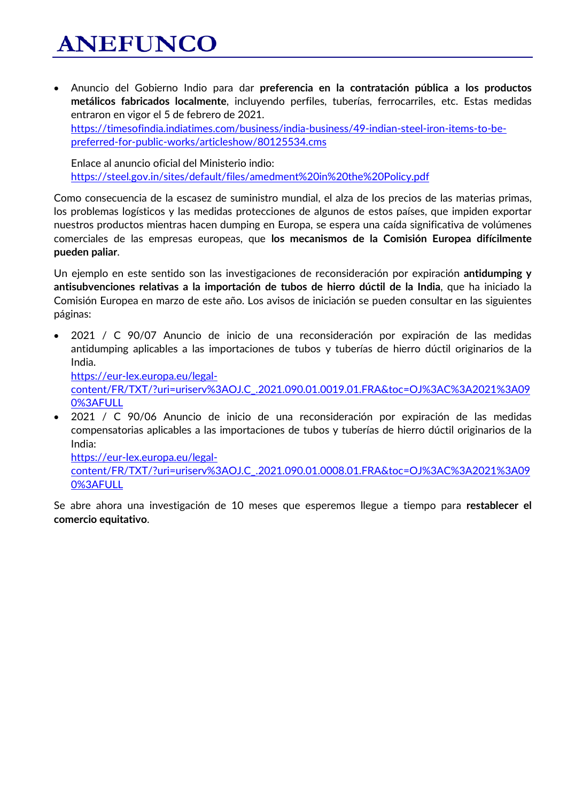# **ANEFUNCO**

• Anuncio del Gobierno Indio para dar **preferencia en la contratación pública a los productos metálicos fabricados localmente**, incluyendo perfiles, tuberías, ferrocarriles, etc. Estas medidas entraron en vigor el 5 de febrero de 2021. [https://timesofindia.indiatimes.com/business/india-business/49-indian-steel-iron-items-to-be](https://timesofindia.indiatimes.com/business/india-business/49-indian-steel-iron-items-to-be-preferred-for-public-works/articleshow/80125534.cms)[preferred-for-public-works/articleshow/80125534.cms](https://timesofindia.indiatimes.com/business/india-business/49-indian-steel-iron-items-to-be-preferred-for-public-works/articleshow/80125534.cms)

Enlace al anuncio oficial del Ministerio indio: <https://steel.gov.in/sites/default/files/amedment%20in%20the%20Policy.pdf>

Como consecuencia de la escasez de suministro mundial, el alza de los precios de las materias primas, los problemas logísticos y las medidas protecciones de algunos de estos países, que impiden exportar nuestros productos mientras hacen dumping en Europa, se espera una caída significativa de volúmenes comerciales de las empresas europeas, que **los mecanismos de la Comisión Europea difícilmente pueden paliar**.

Un ejemplo en este sentido son las investigaciones de reconsideración por expiración **antidumping y antisubvenciones relativas a la importación de tubos de hierro dúctil de la India**, que ha iniciado la Comisión Europea en marzo de este año. Los avisos de iniciación se pueden consultar en las siguientes páginas:

• 2021 / C 90/07 Anuncio de inicio de una reconsideración por expiración de las medidas antidumping aplicables a las importaciones de tubos y tuberías de hierro dúctil originarios de la India.

[https://eur-lex.europa.eu/legal-](https://eur-lex.europa.eu/legal-content/FR/TXT/?uri=uriserv%3AOJ.C_.2021.090.01.0019.01.FRA&toc=OJ%3AC%3A2021%3A090%3AFULL)

[content/FR/TXT/?uri=uriserv%3AOJ.C\\_.2021.090.01.0019.01.FRA&toc=OJ%3AC%3A2021%3A09](https://eur-lex.europa.eu/legal-content/FR/TXT/?uri=uriserv%3AOJ.C_.2021.090.01.0019.01.FRA&toc=OJ%3AC%3A2021%3A090%3AFULL) [0%3AFULL](https://eur-lex.europa.eu/legal-content/FR/TXT/?uri=uriserv%3AOJ.C_.2021.090.01.0019.01.FRA&toc=OJ%3AC%3A2021%3A090%3AFULL)

• 2021 / C 90/06 Anuncio de inicio de una reconsideración por expiración de las medidas compensatorias aplicables a las importaciones de tubos y tuberías de hierro dúctil originarios de la India:

[https://eur-lex.europa.eu/legal](https://eur-lex.europa.eu/legal-content/FR/TXT/?uri=uriserv%3AOJ.C_.2021.090.01.0008.01.FRA&toc=OJ%3AC%3A2021%3A090%3AFULL)[content/FR/TXT/?uri=uriserv%3AOJ.C\\_.2021.090.01.0008.01.FRA&toc=OJ%3AC%3A2021%3A09](https://eur-lex.europa.eu/legal-content/FR/TXT/?uri=uriserv%3AOJ.C_.2021.090.01.0008.01.FRA&toc=OJ%3AC%3A2021%3A090%3AFULL) [0%3AFULL](https://eur-lex.europa.eu/legal-content/FR/TXT/?uri=uriserv%3AOJ.C_.2021.090.01.0008.01.FRA&toc=OJ%3AC%3A2021%3A090%3AFULL)

Se abre ahora una investigación de 10 meses que esperemos llegue a tiempo para **restablecer el comercio equitativo**.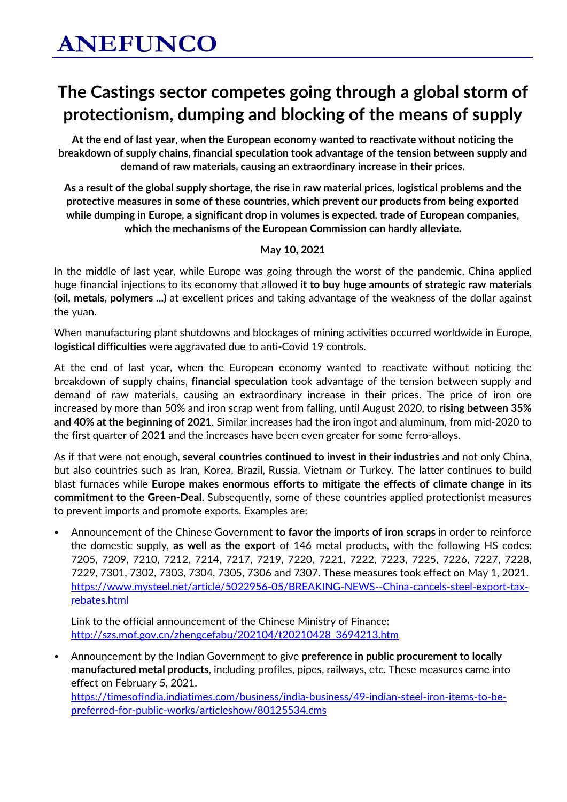## **The Castings sector competes going through a global storm of protectionism, dumping and blocking of the means of supply**

**At the end of last year, when the European economy wanted to reactivate without noticing the breakdown of supply chains, financial speculation took advantage of the tension between supply and demand of raw materials, causing an extraordinary increase in their prices.**

**As a result of the global supply shortage, the rise in raw material prices, logistical problems and the protective measures in some of these countries, which prevent our products from being exported while dumping in Europe, a significant drop in volumes is expected. trade of European companies, which the mechanisms of the European Commission can hardly alleviate.**

#### **May 10, 2021**

In the middle of last year, while Europe was going through the worst of the pandemic, China applied huge financial injections to its economy that allowed **it to buy huge amounts of strategic raw materials (oil, metals, polymers ...)** at excellent prices and taking advantage of the weakness of the dollar against the yuan.

When manufacturing plant shutdowns and blockages of mining activities occurred worldwide in Europe, **logistical difficulties** were aggravated due to anti-Covid 19 controls.

At the end of last year, when the European economy wanted to reactivate without noticing the breakdown of supply chains, **financial speculation** took advantage of the tension between supply and demand of raw materials, causing an extraordinary increase in their prices. The price of iron ore increased by more than 50% and iron scrap went from falling, until August 2020, to **rising between 35% and 40% at the beginning of 2021**. Similar increases had the iron ingot and aluminum, from mid-2020 to the first quarter of 2021 and the increases have been even greater for some ferro-alloys.

As if that were not enough, **several countries continued to invest in their industries** and not only China, but also countries such as Iran, Korea, Brazil, Russia, Vietnam or Turkey. The latter continues to build blast furnaces while **Europe makes enormous efforts to mitigate the effects of climate change in its commitment to the Green-Deal**. Subsequently, some of these countries applied protectionist measures to prevent imports and promote exports. Examples are:

• Announcement of the Chinese Government **to favor the imports of iron scraps** in order to reinforce the domestic supply, **as well as the export** of 146 metal products, with the following HS codes: 7205, 7209, 7210, 7212, 7214, 7217, 7219, 7220, 7221, 7222, 7223, 7225, 7226, 7227, 7228, 7229, 7301, 7302, 7303, 7304, 7305, 7306 and 7307. These measures took effect on May 1, 2021. [https://www.mysteel.net/article/5022956-05/BREAKING-NEWS--China-cancels-steel-export-tax](https://www.mysteel.net/article/5022956-05/BREAKING-NEWS--China-cancels-steel-export-tax-rebates.html)[rebates.html](https://www.mysteel.net/article/5022956-05/BREAKING-NEWS--China-cancels-steel-export-tax-rebates.html)

Link to the official announcement of the Chinese Ministry of Finance: [http://szs.mof.gov.cn/zhengcefabu/202104/t20210428\\_3694213.htm](http://szs.mof.gov.cn/zhengcefabu/202104/t20210428_3694213.htm)

• Announcement by the Indian Government to give **preference in public procurement to locally manufactured metal products**, including profiles, pipes, railways, etc. These measures came into effect on February 5, 2021.

[https://timesofindia.indiatimes.com/business/india-business/49-indian-steel-iron-items-to-be](https://timesofindia.indiatimes.com/business/india-business/49-indian-steel-iron-items-to-be-preferred-for-public-works/articleshow/80125534.cms)[preferred-for-public-works/articleshow/80125534.cms](https://timesofindia.indiatimes.com/business/india-business/49-indian-steel-iron-items-to-be-preferred-for-public-works/articleshow/80125534.cms)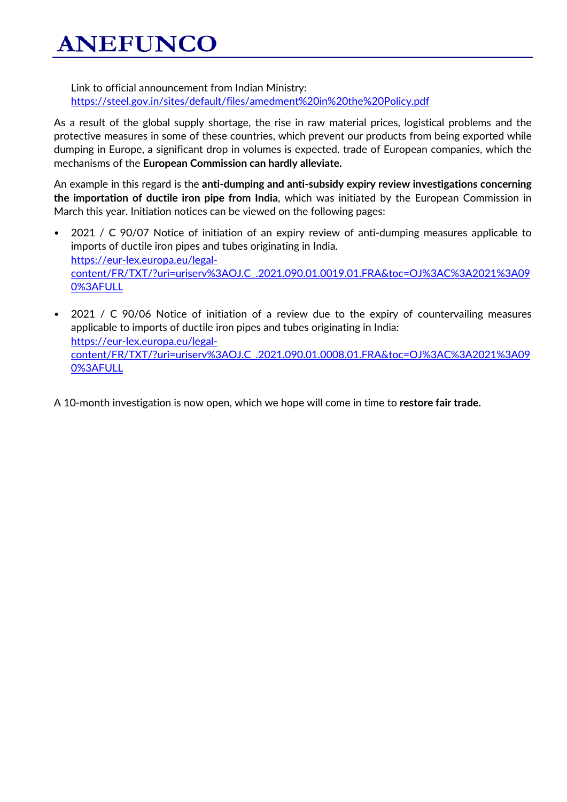**ANEFUNCO** 

Link to official announcement from Indian Ministry: <https://steel.gov.in/sites/default/files/amedment%20in%20the%20Policy.pdf>

As a result of the global supply shortage, the rise in raw material prices, logistical problems and the protective measures in some of these countries, which prevent our products from being exported while dumping in Europe, a significant drop in volumes is expected. trade of European companies, which the mechanisms of the **European Commission can hardly alleviate.**

An example in this regard is the **anti-dumping and anti-subsidy expiry review investigations concerning the importation of ductile iron pipe from India**, which was initiated by the European Commission in March this year. Initiation notices can be viewed on the following pages:

- 2021 / C 90/07 Notice of initiation of an expiry review of anti-dumping measures applicable to imports of ductile iron pipes and tubes originating in India. [https://eur-lex.europa.eu/legal](https://eur-lex.europa.eu/legal-content/FR/TXT/?uri=uriserv%3AOJ.C_.2021.090.01.0019.01.FRA&toc=OJ%3AC%3A2021%3A090%3AFULL)[content/FR/TXT/?uri=uriserv%3AOJ.C\\_.2021.090.01.0019.01.FRA&toc=OJ%3AC%3A2021%3A09](https://eur-lex.europa.eu/legal-content/FR/TXT/?uri=uriserv%3AOJ.C_.2021.090.01.0019.01.FRA&toc=OJ%3AC%3A2021%3A090%3AFULL) [0%3AFULL](https://eur-lex.europa.eu/legal-content/FR/TXT/?uri=uriserv%3AOJ.C_.2021.090.01.0019.01.FRA&toc=OJ%3AC%3A2021%3A090%3AFULL)
- 2021 / C 90/06 Notice of initiation of a review due to the expiry of countervailing measures applicable to imports of ductile iron pipes and tubes originating in India: [https://eur-lex.europa.eu/legal](https://eur-lex.europa.eu/legal-content/FR/TXT/?uri=uriserv%3AOJ.C_.2021.090.01.0008.01.FRA&toc=OJ%3AC%3A2021%3A090%3AFULL)[content/FR/TXT/?uri=uriserv%3AOJ.C\\_.2021.090.01.0008.01.FRA&toc=OJ%3AC%3A2021%3A09](https://eur-lex.europa.eu/legal-content/FR/TXT/?uri=uriserv%3AOJ.C_.2021.090.01.0008.01.FRA&toc=OJ%3AC%3A2021%3A090%3AFULL) [0%3AFULL](https://eur-lex.europa.eu/legal-content/FR/TXT/?uri=uriserv%3AOJ.C_.2021.090.01.0008.01.FRA&toc=OJ%3AC%3A2021%3A090%3AFULL)
- A 10-month investigation is now open, which we hope will come in time to **restore fair trade.**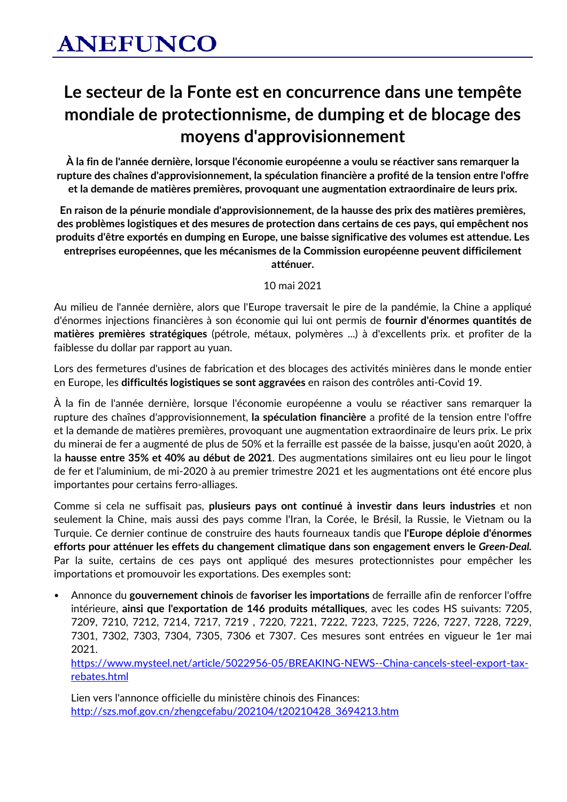## **Le secteur de la Fonte est en concurrence dans une tempête mondiale de protectionnisme, de dumping et de blocage des moyens d'approvisionnement**

**À la fin de l'année dernière, lorsque l'économie européenne a voulu se réactiver sans remarquer la rupture des chaînes d'approvisionnement, la spéculation financière a profité de la tension entre l'offre et la demande de matières premières, provoquant une augmentation extraordinaire de leurs prix.**

**En raison de la pénurie mondiale d'approvisionnement, de la hausse des prix des matières premières, des problèmes logistiques et des mesures de protection dans certains de ces pays, qui empêchent nos produits d'être exportés en dumping en Europe, une baisse significative des volumes est attendue. Les entreprises européennes, que les mécanismes de la Commission européenne peuvent difficilement** 

**atténuer.**

10 mai 2021

Au milieu de l'année dernière, alors que l'Europe traversait le pire de la pandémie, la Chine a appliqué d'énormes injections financières à son économie qui lui ont permis de **fournir d'énormes quantités de matières premières stratégiques** (pétrole, métaux, polymères ...) à d'excellents prix. et profiter de la faiblesse du dollar par rapport au yuan.

Lors des fermetures d'usines de fabrication et des blocages des activités minières dans le monde entier en Europe, les **difficultés logistiques se sont aggravées** en raison des contrôles anti-Covid 19.

À la fin de l'année dernière, lorsque l'économie européenne a voulu se réactiver sans remarquer la rupture des chaînes d'approvisionnement, **la spéculation financière** a profité de la tension entre l'offre et la demande de matières premières, provoquant une augmentation extraordinaire de leurs prix. Le prix du minerai de fer a augmenté de plus de 50% et la ferraille est passée de la baisse, jusqu'en août 2020, à la **hausse entre 35% et 40% au début de 2021**. Des augmentations similaires ont eu lieu pour le lingot de fer et l'aluminium, de mi-2020 à au premier trimestre 2021 et les augmentations ont été encore plus importantes pour certains ferro-alliages.

Comme si cela ne suffisait pas, **plusieurs pays ont continué à investir dans leurs industries** et non seulement la Chine, mais aussi des pays comme l'Iran, la Corée, le Brésil, la Russie, le Vietnam ou la Turquie. Ce dernier continue de construire des hauts fourneaux tandis que **l'Europe déploie d'énormes efforts pour atténuer les effets du changement climatique dans son engagement envers le** *Green-Deal.* Par la suite, certains de ces pays ont appliqué des mesures protectionnistes pour empêcher les importations et promouvoir les exportations. Des exemples sont:

• Annonce du **gouvernement chinois** de **favoriser les importations** de ferraille afin de renforcer l'offre intérieure, **ainsi que l'exportation de 146 produits métalliques**, avec les codes HS suivants: 7205, 7209, 7210, 7212, 7214, 7217, 7219 , 7220, 7221, 7222, 7223, 7225, 7226, 7227, 7228, 7229, 7301, 7302, 7303, 7304, 7305, 7306 et 7307. Ces mesures sont entrées en vigueur le 1er mai 2021.

[https://www.mysteel.net/article/5022956-05/BREAKING-NEWS--China-cancels-steel-export-tax](https://www.mysteel.net/article/5022956-05/BREAKING-NEWS--China-cancels-steel-export-tax-rebates.html)[rebates.html](https://www.mysteel.net/article/5022956-05/BREAKING-NEWS--China-cancels-steel-export-tax-rebates.html)

Lien vers l'annonce officielle du ministère chinois des Finances: [http://szs.mof.gov.cn/zhengcefabu/202104/t20210428\\_3694213.htm](http://szs.mof.gov.cn/zhengcefabu/202104/t20210428_3694213.htm)